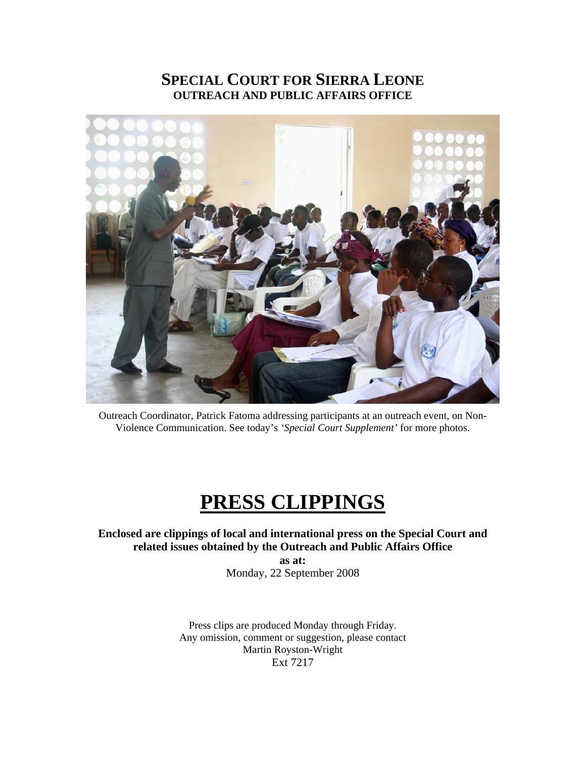# **SPECIAL COURT FOR SIERRA LEONE OUTREACH AND PUBLIC AFFAIRS OFFICE**



Outreach Coordinator, Patrick Fatoma addressing participants at an outreach event, on Non-Violence Communication. See today's *'Special Court Supplement'* for more photos.

# **PRESS CLIPPINGS**

**Enclosed are clippings of local and international press on the Special Court and related issues obtained by the Outreach and Public Affairs Office** 

> **as at:**  Monday, 22 September 2008

Press clips are produced Monday through Friday. Any omission, comment or suggestion, please contact Martin Royston-Wright Ext 7217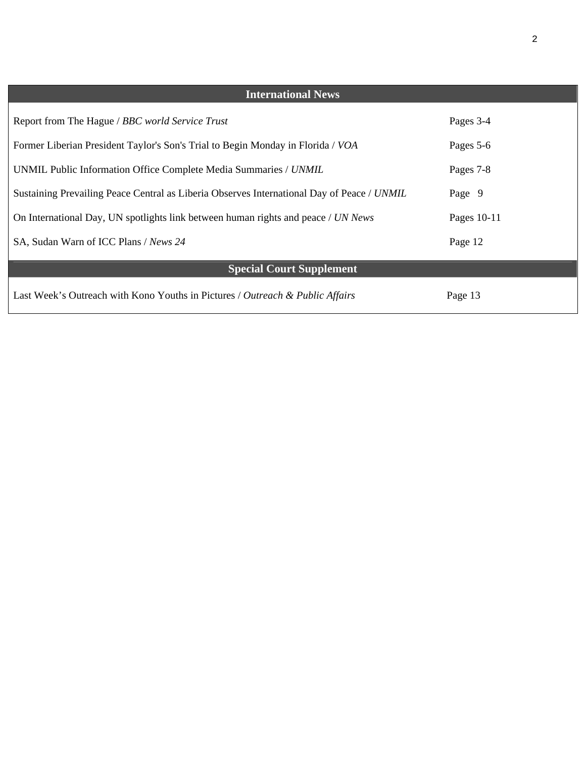| <b>International News</b>                                                                  |             |
|--------------------------------------------------------------------------------------------|-------------|
|                                                                                            |             |
| Report from The Hague / BBC world Service Trust                                            | Pages 3-4   |
| Former Liberian President Taylor's Son's Trial to Begin Monday in Florida / VOA            | Pages 5-6   |
| UNMIL Public Information Office Complete Media Summaries / UNMIL                           | Pages 7-8   |
| Sustaining Prevailing Peace Central as Liberia Observes International Day of Peace / UNMIL | Page 9      |
| On International Day, UN spotlights link between human rights and peace / UN News          | Pages 10-11 |
| SA, Sudan Warn of ICC Plans / News 24                                                      | Page 12     |
| <b>Special Court Supplement</b>                                                            |             |
| Last Week's Outreach with Kono Youths in Pictures / Outreach & Public Affairs              | Page 13     |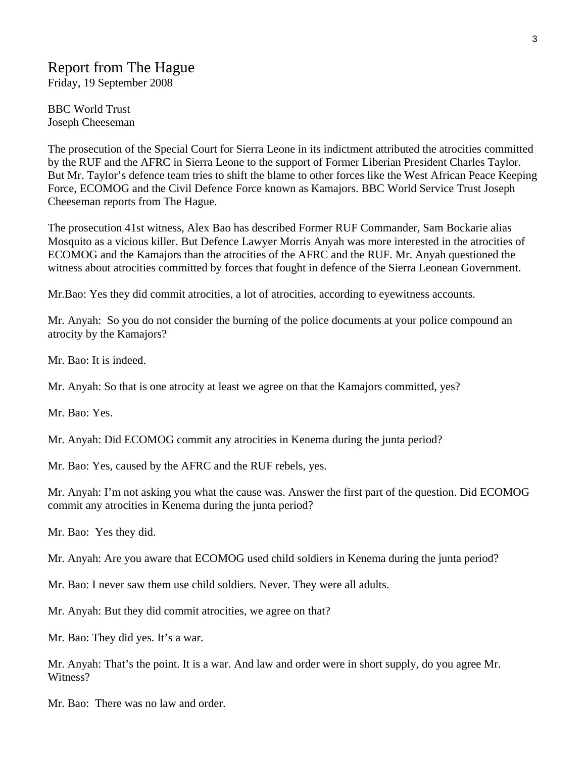# Report from The Hague

Friday, 19 September 2008

BBC World Trust Joseph Cheeseman

The prosecution of the Special Court for Sierra Leone in its indictment attributed the atrocities committed by the RUF and the AFRC in Sierra Leone to the support of Former Liberian President Charles Taylor. But Mr. Taylor's defence team tries to shift the blame to other forces like the West African Peace Keeping Force, ECOMOG and the Civil Defence Force known as Kamajors. BBC World Service Trust Joseph Cheeseman reports from The Hague.

The prosecution 41st witness, Alex Bao has described Former RUF Commander, Sam Bockarie alias Mosquito as a vicious killer. But Defence Lawyer Morris Anyah was more interested in the atrocities of ECOMOG and the Kamajors than the atrocities of the AFRC and the RUF. Mr. Anyah questioned the witness about atrocities committed by forces that fought in defence of the Sierra Leonean Government.

Mr.Bao: Yes they did commit atrocities, a lot of atrocities, according to eyewitness accounts.

Mr. Anyah: So you do not consider the burning of the police documents at your police compound an atrocity by the Kamajors?

Mr. Bao: It is indeed.

Mr. Anyah: So that is one atrocity at least we agree on that the Kamajors committed, yes?

Mr. Bao: Yes.

Mr. Anyah: Did ECOMOG commit any atrocities in Kenema during the junta period?

Mr. Bao: Yes, caused by the AFRC and the RUF rebels, yes.

Mr. Anyah: I'm not asking you what the cause was. Answer the first part of the question. Did ECOMOG commit any atrocities in Kenema during the junta period?

Mr. Bao: Yes they did.

Mr. Anyah: Are you aware that ECOMOG used child soldiers in Kenema during the junta period?

Mr. Bao: I never saw them use child soldiers. Never. They were all adults.

Mr. Anyah: But they did commit atrocities, we agree on that?

Mr. Bao: They did yes. It's a war.

Mr. Anyah: That's the point. It is a war. And law and order were in short supply, do you agree Mr. Witness?

Mr. Bao: There was no law and order.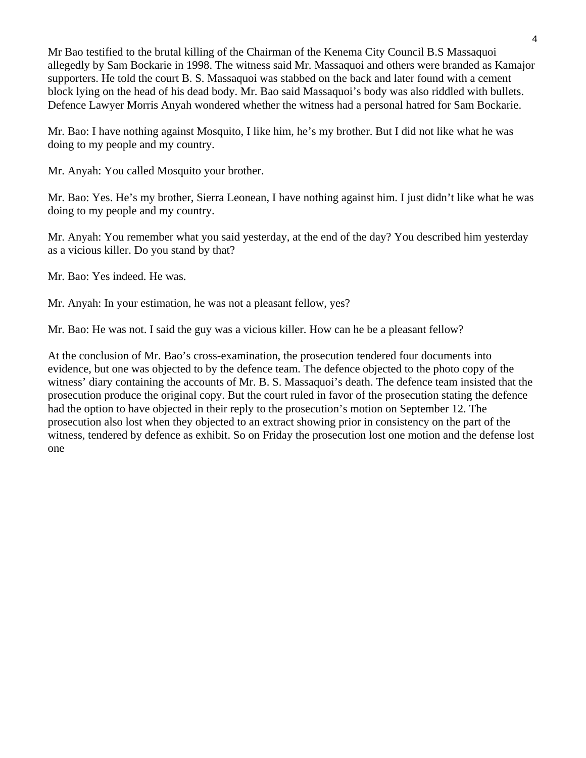Mr Bao testified to the brutal killing of the Chairman of the Kenema City Council B.S Massaquoi allegedly by Sam Bockarie in 1998. The witness said Mr. Massaquoi and others were branded as Kamajor supporters. He told the court B. S. Massaquoi was stabbed on the back and later found with a cement block lying on the head of his dead body. Mr. Bao said Massaquoi's body was also riddled with bullets. Defence Lawyer Morris Anyah wondered whether the witness had a personal hatred for Sam Bockarie.

Mr. Bao: I have nothing against Mosquito, I like him, he's my brother. But I did not like what he was doing to my people and my country.

Mr. Anyah: You called Mosquito your brother.

Mr. Bao: Yes. He's my brother, Sierra Leonean, I have nothing against him. I just didn't like what he was doing to my people and my country.

Mr. Anyah: You remember what you said yesterday, at the end of the day? You described him yesterday as a vicious killer. Do you stand by that?

Mr. Bao: Yes indeed. He was.

Mr. Anyah: In your estimation, he was not a pleasant fellow, yes?

Mr. Bao: He was not. I said the guy was a vicious killer. How can he be a pleasant fellow?

At the conclusion of Mr. Bao's cross-examination, the prosecution tendered four documents into evidence, but one was objected to by the defence team. The defence objected to the photo copy of the witness' diary containing the accounts of Mr. B. S. Massaquoi's death. The defence team insisted that the prosecution produce the original copy. But the court ruled in favor of the prosecution stating the defence had the option to have objected in their reply to the prosecution's motion on September 12. The prosecution also lost when they objected to an extract showing prior in consistency on the part of the witness, tendered by defence as exhibit. So on Friday the prosecution lost one motion and the defense lost one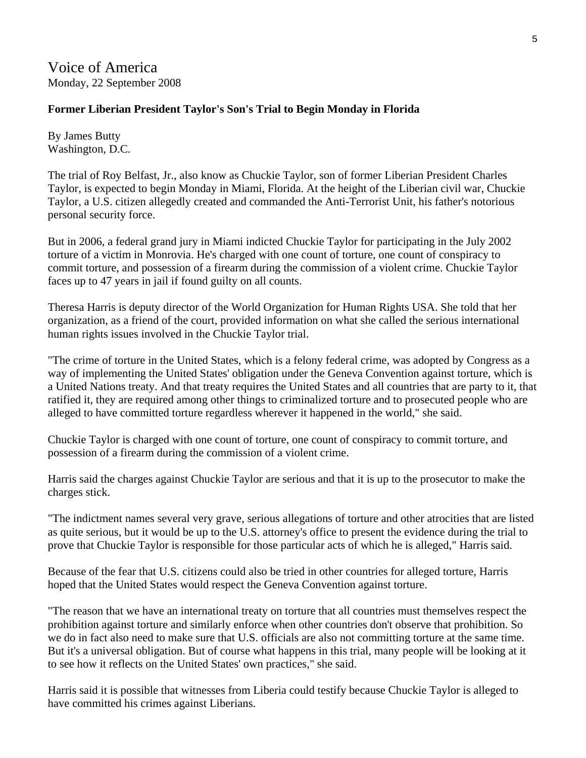Voice of America Monday, 22 September 2008

### **Former Liberian President Taylor's Son's Trial to Begin Monday in Florida**

By James Butty Washington, D.C.

The trial of Roy Belfast, Jr., also know as Chuckie Taylor, son of former Liberian President Charles Taylor, is expected to begin Monday in Miami, Florida. At the height of the Liberian civil war, Chuckie Taylor, a U.S. citizen allegedly created and commanded the Anti-Terrorist Unit, his father's notorious personal security force.

But in 2006, a federal grand jury in Miami indicted Chuckie Taylor for participating in the July 2002 torture of a victim in Monrovia. He's charged with one count of torture, one count of conspiracy to commit torture, and possession of a firearm during the commission of a violent crime. Chuckie Taylor faces up to 47 years in jail if found guilty on all counts.

Theresa Harris is deputy director of the World Organization for Human Rights USA. She told that her organization, as a friend of the court, provided information on what she called the serious international human rights issues involved in the Chuckie Taylor trial.

"The crime of torture in the United States, which is a felony federal crime, was adopted by Congress as a way of implementing the United States' obligation under the Geneva Convention against torture, which is a United Nations treaty. And that treaty requires the United States and all countries that are party to it, that ratified it, they are required among other things to criminalized torture and to prosecuted people who are alleged to have committed torture regardless wherever it happened in the world," she said.

Chuckie Taylor is charged with one count of torture, one count of conspiracy to commit torture, and possession of a firearm during the commission of a violent crime.

Harris said the charges against Chuckie Taylor are serious and that it is up to the prosecutor to make the charges stick.

"The indictment names several very grave, serious allegations of torture and other atrocities that are listed as quite serious, but it would be up to the U.S. attorney's office to present the evidence during the trial to prove that Chuckie Taylor is responsible for those particular acts of which he is alleged," Harris said.

Because of the fear that U.S. citizens could also be tried in other countries for alleged torture, Harris hoped that the United States would respect the Geneva Convention against torture.

"The reason that we have an international treaty on torture that all countries must themselves respect the prohibition against torture and similarly enforce when other countries don't observe that prohibition. So we do in fact also need to make sure that U.S. officials are also not committing torture at the same time. But it's a universal obligation. But of course what happens in this trial, many people will be looking at it to see how it reflects on the United States' own practices," she said.

Harris said it is possible that witnesses from Liberia could testify because Chuckie Taylor is alleged to have committed his crimes against Liberians.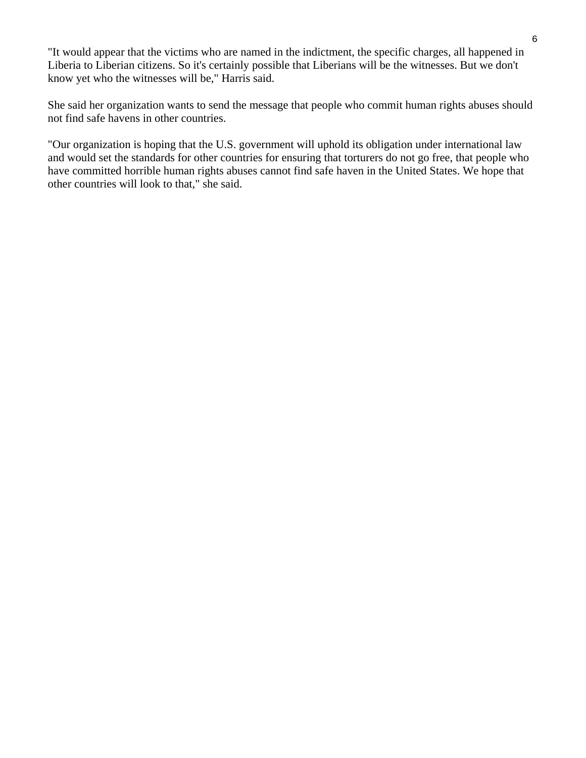"It would appear that the victims who are named in the indictment, the specific charges, all happened in Liberia to Liberian citizens. So it's certainly possible that Liberians will be the witnesses. But we don't know yet who the witnesses will be," Harris said.

She said her organization wants to send the message that people who commit human rights abuses should not find safe havens in other countries.

"Our organization is hoping that the U.S. government will uphold its obligation under international law and would set the standards for other countries for ensuring that torturers do not go free, that people who have committed horrible human rights abuses cannot find safe haven in the United States. We hope that other countries will look to that," she said.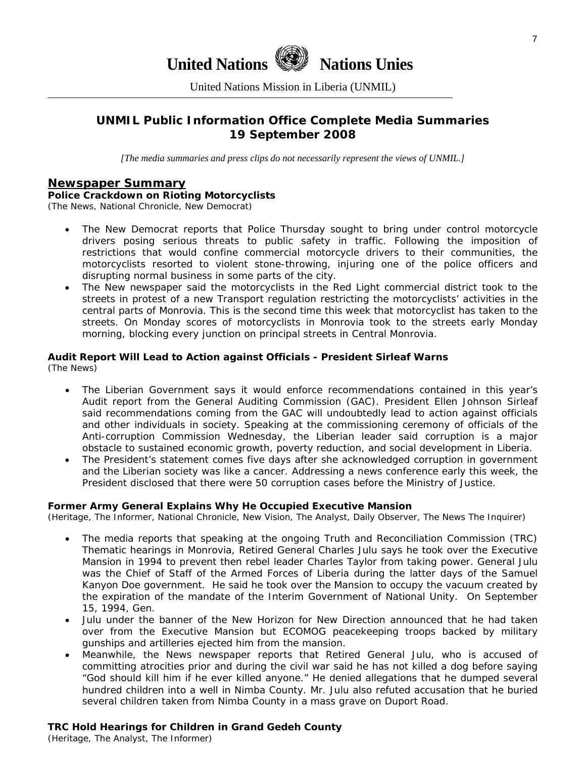# **United Nations Nations Unies**

United Nations Mission in Liberia (UNMIL)

### **UNMIL Public Information Office Complete Media Summaries 19 September 2008**

*[The media summaries and press clips do not necessarily represent the views of UNMIL.]* 

### **Newspaper Summary**

#### **Police Crackdown on Rioting Motorcyclists**

(The News, National Chronicle, New Democrat)

- The New Democrat reports that Police Thursday sought to bring under control motorcycle drivers posing serious threats to public safety in traffic. Following the imposition of restrictions that would confine commercial motorcycle drivers to their communities, the motorcyclists resorted to violent stone-throwing, injuring one of the police officers and disrupting normal business in some parts of the city.
- The New newspaper said the motorcyclists in the Red Light commercial district took to the streets in protest of a new Transport regulation restricting the motorcyclists' activities in the central parts of Monrovia. This is the second time this week that motorcyclist has taken to the streets. On Monday scores of motorcyclists in Monrovia took to the streets early Monday morning, blocking every junction on principal streets in Central Monrovia.

# **Audit Report Will Lead to Action against Officials - President Sirleaf Warns**

(The News)

- The Liberian Government says it would enforce recommendations contained in this year's Audit report from the General Auditing Commission (GAC). President Ellen Johnson Sirleaf said recommendations coming from the GAC will undoubtedly lead to action against officials and other individuals in society. Speaking at the commissioning ceremony of officials of the Anti-corruption Commission Wednesday, the Liberian leader said corruption is a major obstacle to sustained economic growth, poverty reduction, and social development in Liberia.
- The President's statement comes five days after she acknowledged corruption in government and the Liberian society was like a cancer. Addressing a news conference early this week, the President disclosed that there were 50 corruption cases before the Ministry of Justice.

#### **Former Army General Explains Why He Occupied Executive Mansion**

(Heritage, The Informer, National Chronicle, New Vision, The Analyst, Daily Observer, The News The Inquirer)

- The media reports that speaking at the ongoing Truth and Reconciliation Commission (TRC) Thematic hearings in Monrovia, Retired General Charles Julu says he took over the Executive Mansion in 1994 to prevent then rebel leader Charles Taylor from taking power. General Julu was the Chief of Staff of the Armed Forces of Liberia during the latter days of the Samuel Kanyon Doe government. He said he took over the Mansion to occupy the vacuum created by the expiration of the mandate of the Interim Government of National Unity. On September 15, 1994, Gen.
- Julu under the banner of the New Horizon for New Direction announced that he had taken over from the Executive Mansion but ECOMOG peacekeeping troops backed by military gunships and artilleries ejected him from the mansion.
- Meanwhile, the News newspaper reports that Retired General Julu, who is accused of committing atrocities prior and during the civil war said he has not killed a dog before saying "God should kill him if he ever killed anyone." He denied allegations that he dumped several hundred children into a well in Nimba County. Mr. Julu also refuted accusation that he buried several children taken from Nimba County in a mass grave on Duport Road.

### **TRC Hold Hearings for Children in Grand Gedeh County**

(Heritage, The Analyst, The Informer)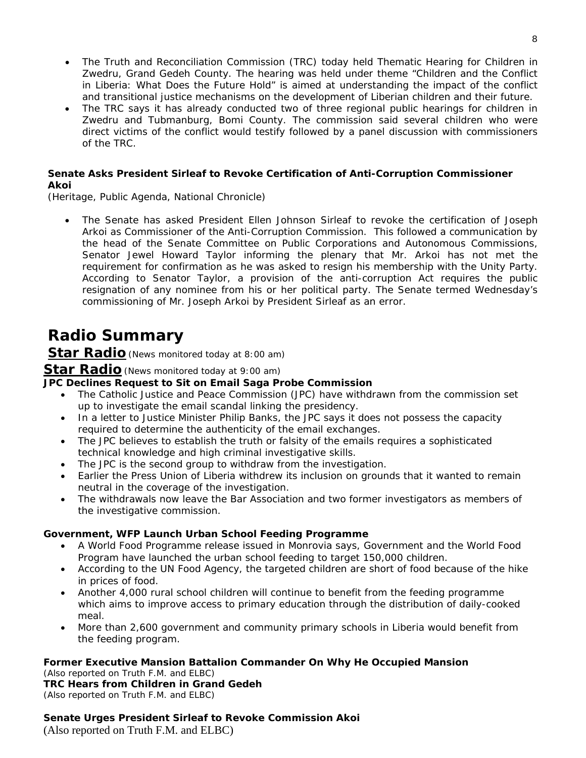- The Truth and Reconciliation Commission (TRC) today held Thematic Hearing for Children in Zwedru, Grand Gedeh County. The hearing was held under theme "Children and the Conflict in Liberia: What Does the Future Hold" is aimed at understanding the impact of the conflict and transitional justice mechanisms on the development of Liberian children and their future.
- The TRC says it has already conducted two of three regional public hearings for children in Zwedru and Tubmanburg, Bomi County. The commission said several children who were direct victims of the conflict would testify followed by a panel discussion with commissioners of the TRC.

### **Senate Asks President Sirleaf to Revoke Certification of Anti-Corruption Commissioner Akoi**

(Heritage, Public Agenda, National Chronicle)

• The Senate has asked President Ellen Johnson Sirleaf to revoke the certification of Joseph Arkoi as Commissioner of the Anti-Corruption Commission. This followed a communication by the head of the Senate Committee on Public Corporations and Autonomous Commissions, Senator Jewel Howard Taylor informing the plenary that Mr. Arkoi has not met the requirement for confirmation as he was asked to resign his membership with the Unity Party. According to Senator Taylor, a provision of the anti-corruption Act requires the public resignation of any nominee from his or her political party. The Senate termed Wednesday's commissioning of Mr. Joseph Arkoi by President Sirleaf as an error.

# **Radio Summary**

**Star Radio***(News monitored today at 8:00 am)* 

### **Star Radio***(News monitored today at 9:00 am)*

### **JPC Declines Request to Sit on Email Saga Probe Commission**

- The Catholic Justice and Peace Commission (JPC) have withdrawn from the commission set up to investigate the email scandal linking the presidency.
- In a letter to Justice Minister Philip Banks, the JPC says it does not possess the capacity required to determine the authenticity of the email exchanges.
- The JPC believes to establish the truth or falsity of the emails requires a sophisticated technical knowledge and high criminal investigative skills.
- The JPC is the second group to withdraw from the investigation.
- Earlier the Press Union of Liberia withdrew its inclusion on grounds that it wanted to remain neutral in the coverage of the investigation.
- The withdrawals now leave the Bar Association and two former investigators as members of the investigative commission.

### **Government, WFP Launch Urban School Feeding Programme**

- A World Food Programme release issued in Monrovia says, Government and the World Food Program have launched the urban school feeding to target 150,000 children.
- According to the UN Food Agency, the targeted children are short of food because of the hike in prices of food.
- Another 4,000 rural school children will continue to benefit from the feeding programme which aims to improve access to primary education through the distribution of daily-cooked meal.
- More than 2,600 government and community primary schools in Liberia would benefit from the feeding program.

### **Former Executive Mansion Battalion Commander On Why He Occupied Mansion**

*(Also reported on Truth F.M. and ELBC)* **TRC Hears from Children in Grand Gedeh**  *(Also reported on Truth F.M. and ELBC)* 

### **Senate Urges President Sirleaf to Revoke Commission Akoi**

(Also reported on Truth F.M. and ELBC)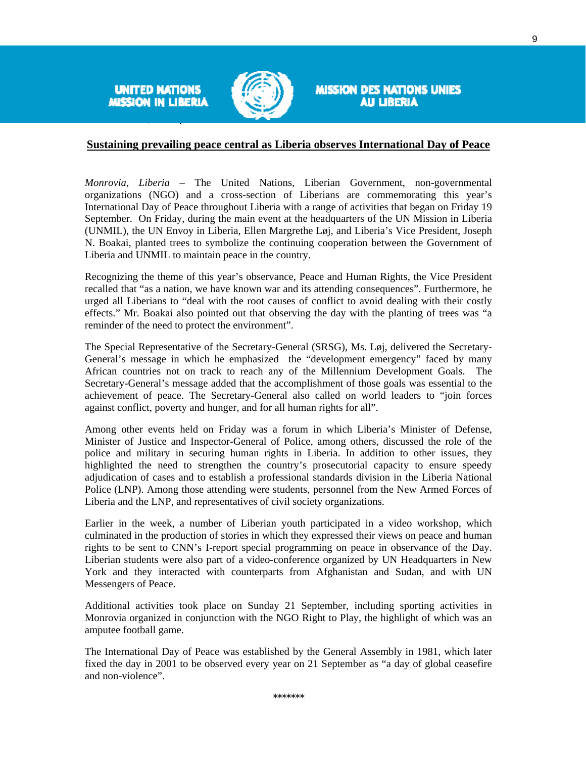**UNITED NATIONS** MISSION IN LIBERIA



**MISSION DES NATIONS UNIES** AU LIBERIA

#### **Sustaining prevailing peace central as Liberia observes International Day of Peace**

*Monrovia, Liberia –* The United Nations, Liberian Government, non-governmental organizations (NGO) and a cross-section of Liberians are commemorating this year's International Day of Peace throughout Liberia with a range of activities that began on Friday 19 September. On Friday, during the main event at the headquarters of the UN Mission in Liberia (UNMIL), the UN Envoy in Liberia, Ellen Margrethe Løj, and Liberia's Vice President, Joseph N. Boakai, planted trees to symbolize the continuing cooperation between the Government of Liberia and UNMIL to maintain peace in the country.

Recognizing the theme of this year's observance, Peace and Human Rights, the Vice President recalled that "as a nation, we have known war and its attending consequences". Furthermore, he urged all Liberians to "deal with the root causes of conflict to avoid dealing with their costly effects." Mr. Boakai also pointed out that observing the day with the planting of trees was "a reminder of the need to protect the environment".

The Special Representative of the Secretary-General (SRSG), Ms. Løj, delivered the Secretary-General's message in which he emphasized the "development emergency" faced by many African countries not on track to reach any of the Millennium Development Goals. The Secretary-General's message added that the accomplishment of those goals was essential to the achievement of peace. The Secretary-General also called on world leaders to "join forces against conflict, poverty and hunger, and for all human rights for all".

Among other events held on Friday was a forum in which Liberia's Minister of Defense, Minister of Justice and Inspector-General of Police, among others, discussed the role of the police and military in securing human rights in Liberia. In addition to other issues, they highlighted the need to strengthen the country's prosecutorial capacity to ensure speedy adjudication of cases and to establish a professional standards division in the Liberia National Police (LNP). Among those attending were students, personnel from the New Armed Forces of Liberia and the LNP, and representatives of civil society organizations.

Earlier in the week, a number of Liberian youth participated in a video workshop, which culminated in the production of stories in which they expressed their views on peace and human rights to be sent to CNN's I-report special programming on peace in observance of the Day. Liberian students were also part of a video-conference organized by UN Headquarters in New York and they interacted with counterparts from Afghanistan and Sudan, and with UN Messengers of Peace.

Additional activities took place on Sunday 21 September, including sporting activities in Monrovia organized in conjunction with the NGO Right to Play, the highlight of which was an amputee football game.

The International Day of Peace was established by the General Assembly in 1981, which later fixed the day in 2001 to be observed every year on 21 September as "a day of global ceasefire and non-violence".

9

\*\*\*\*\*\*\*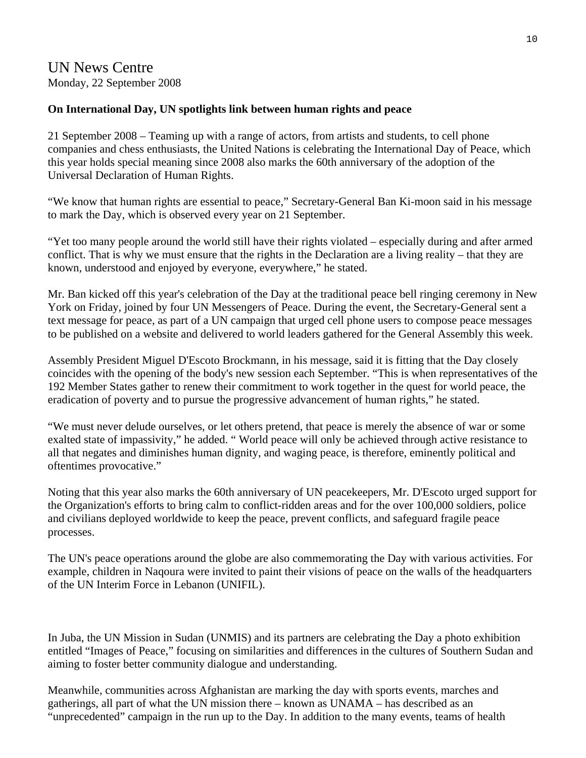# UN News Centre Monday, 22 September 2008

### **On International Day, UN spotlights link between human rights and peace**

21 September 2008 – Teaming up with a range of actors, from artists and students, to cell phone companies and chess enthusiasts, the United Nations is celebrating the International Day of Peace, which this year holds special meaning since 2008 also marks the 60th anniversary of the adoption of the Universal Declaration of Human Rights.

"We know that human rights are essential to peace," Secretary-General Ban Ki-moon said in his message to mark the Day, which is observed every year on 21 September.

"Yet too many people around the world still have their rights violated – especially during and after armed conflict. That is why we must ensure that the rights in the Declaration are a living reality – that they are known, understood and enjoyed by everyone, everywhere," he stated.

Mr. Ban kicked off this year's celebration of the Day at the traditional peace bell ringing ceremony in New York on Friday, joined by four UN Messengers of Peace. During the event, the Secretary-General sent a text message for peace, as part of a UN campaign that urged cell phone users to compose peace messages to be published on a website and delivered to world leaders gathered for the General Assembly this week.

Assembly President Miguel D'Escoto Brockmann, in his message, said it is fitting that the Day closely coincides with the opening of the body's new session each September. "This is when representatives of the 192 Member States gather to renew their commitment to work together in the quest for world peace, the eradication of poverty and to pursue the progressive advancement of human rights," he stated.

"We must never delude ourselves, or let others pretend, that peace is merely the absence of war or some exalted state of impassivity," he added. " World peace will only be achieved through active resistance to all that negates and diminishes human dignity, and waging peace, is therefore, eminently political and oftentimes provocative."

Noting that this year also marks the 60th anniversary of UN peacekeepers, Mr. D'Escoto urged support for the Organization's efforts to bring calm to conflict-ridden areas and for the over 100,000 soldiers, police and civilians deployed worldwide to keep the peace, prevent conflicts, and safeguard fragile peace processes.

The UN's peace operations around the globe are also commemorating the Day with various activities. For example, children in Naqoura were invited to paint their visions of peace on the walls of the headquarters of the UN Interim Force in Lebanon (UNIFIL).

In Juba, the UN Mission in Sudan (UNMIS) and its partners are celebrating the Day a photo exhibition entitled "Images of Peace," focusing on similarities and differences in the cultures of Southern Sudan and aiming to foster better community dialogue and understanding.

Meanwhile, communities across Afghanistan are marking the day with sports events, marches and gatherings, all part of what the UN mission there – known as UNAMA – has described as an "unprecedented" campaign in the run up to the Day. In addition to the many events, teams of health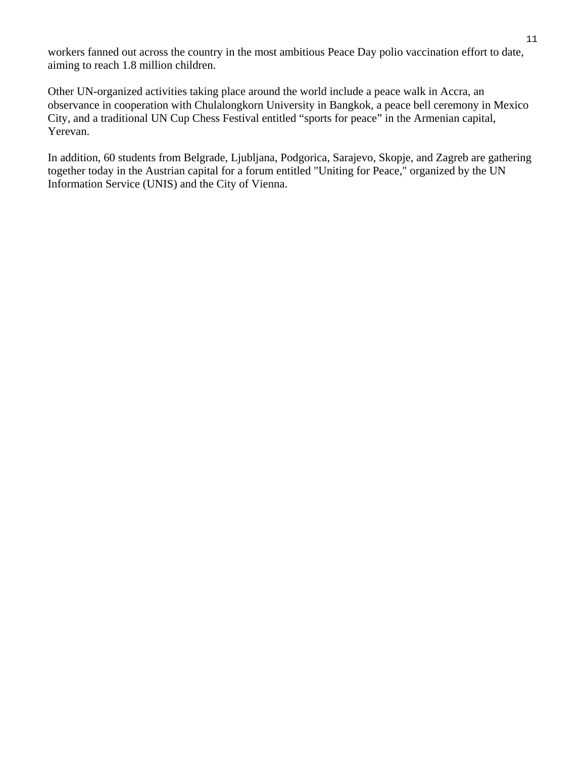workers fanned out across the country in the most ambitious Peace Day polio vaccination effort to date, aiming to reach 1.8 million children.

Other UN-organized activities taking place around the world include a peace walk in Accra, an observance in cooperation with Chulalongkorn University in Bangkok, a peace bell ceremony in Mexico City, and a traditional UN Cup Chess Festival entitled "sports for peace" in the Armenian capital, Yerevan.

In addition, 60 students from Belgrade, Ljubljana, Podgorica, Sarajevo, Skopje, and Zagreb are gathering together today in the Austrian capital for a forum entitled "Uniting for Peace," organized by the UN Information Service (UNIS) and the City of Vienna.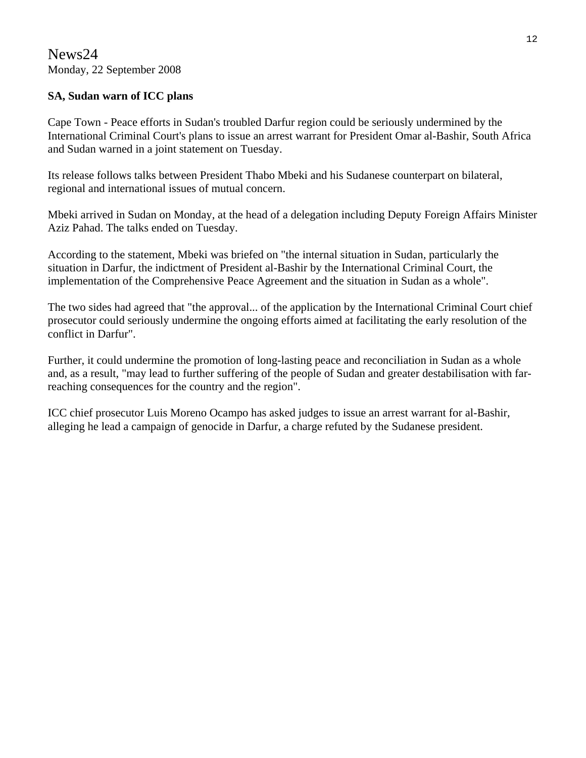### **SA, Sudan warn of ICC plans**

Cape Town - Peace efforts in Sudan's troubled Darfur region could be seriously undermined by the International Criminal Court's plans to issue an arrest warrant for President Omar al-Bashir, South Africa and Sudan warned in a joint statement on Tuesday.

Its release follows talks between President Thabo Mbeki and his Sudanese counterpart on bilateral, regional and international issues of mutual concern.

Mbeki arrived in Sudan on Monday, at the head of a delegation including Deputy Foreign Affairs Minister Aziz Pahad. The talks ended on Tuesday.

According to the statement, Mbeki was briefed on "the internal situation in Sudan, particularly the situation in Darfur, the indictment of President al-Bashir by the International Criminal Court, the implementation of the Comprehensive Peace Agreement and the situation in Sudan as a whole".

The two sides had agreed that "the approval... of the application by the International Criminal Court chief prosecutor could seriously undermine the ongoing efforts aimed at facilitating the early resolution of the conflict in Darfur".

Further, it could undermine the promotion of long-lasting peace and reconciliation in Sudan as a whole and, as a result, "may lead to further suffering of the people of Sudan and greater destabilisation with farreaching consequences for the country and the region".

ICC chief prosecutor Luis Moreno Ocampo has asked judges to issue an arrest warrant for al-Bashir, alleging he lead a campaign of genocide in Darfur, a charge refuted by the Sudanese president.